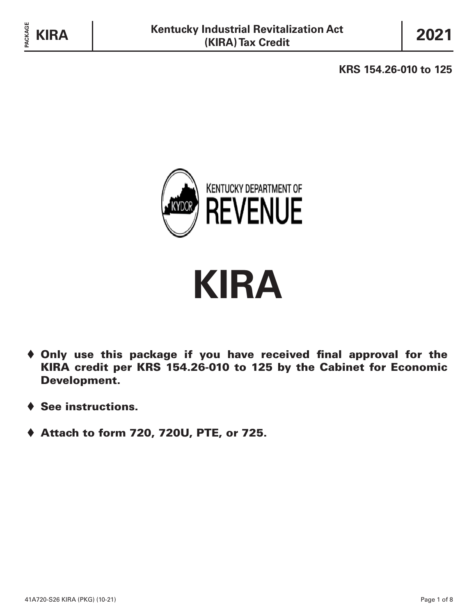**KRS 154.26-010 to 125**



# **KIRA**

- $\blacklozenge$  Only use this package if you have received final approval for the KIRA credit per KRS 154.26-010 to 125 by the Cabinet for Economic Development.
- $\triangle$  See instructions.
- ♦ Attach to form 720, 720U, PTE, or 725.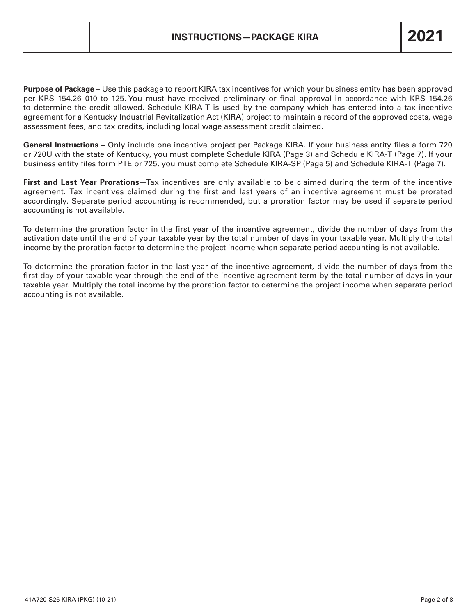**Purpose of Package –** Use this package to report KIRA tax incentives for which your business entity has been approved per KRS 154.26–010 to 125. You must have received preliminary or final approval in accordance with KRS 154.26 to determine the credit allowed. Schedule KIRA-T is used by the company which has entered into a tax incentive agreement for a Kentucky Industrial Revitalization Act (KIRA) project to maintain a record of the approved costs, wage assessment fees, and tax credits, including local wage assessment credit claimed.

**General Instructions –** Only include one incentive project per Package KIRA. If your business entity files a form 720 or 720U with the state of Kentucky, you must complete Schedule KIRA (Page 3) and Schedule KIRA-T (Page 7). If your business entity files form PTE or 725, you must complete Schedule KIRA-SP (Page 5) and Schedule KIRA-T (Page 7).

**First and Last Year Prorations—**Tax incentives are only available to be claimed during the term of the incentive agreement. Tax incentives claimed during the first and last years of an incentive agreement must be prorated accordingly. Separate period accounting is recommended, but a proration factor may be used if separate period accounting is not available.

To determine the proration factor in the first year of the incentive agreement, divide the number of days from the activation date until the end of your taxable year by the total number of days in your taxable year. Multiply the total income by the proration factor to determine the project income when separate period accounting is not available.

To determine the proration factor in the last year of the incentive agreement, divide the number of days from the first day of your taxable year through the end of the incentive agreement term by the total number of days in your taxable year. Multiply the total income by the proration factor to determine the project income when separate period accounting is not available.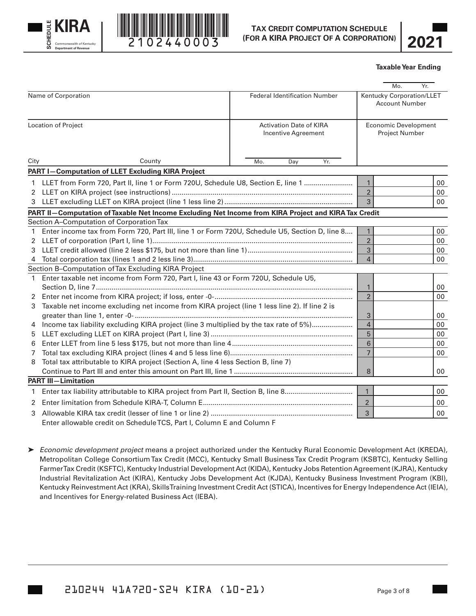



$$
\overline{\textbf{2021}}
$$

#### **Taxable Year Ending**

|                     |                                                                                                                                                                                                                                                                                                       |                                                       |                | Mo.<br>Yr.                                           |  |
|---------------------|-------------------------------------------------------------------------------------------------------------------------------------------------------------------------------------------------------------------------------------------------------------------------------------------------------|-------------------------------------------------------|----------------|------------------------------------------------------|--|
|                     | Name of Corporation                                                                                                                                                                                                                                                                                   | <b>Federal Identification Number</b>                  |                | Kentucky Corporation/LLET<br><b>Account Number</b>   |  |
| Location of Project |                                                                                                                                                                                                                                                                                                       | <b>Activation Date of KIRA</b><br>Incentive Agreement |                | <b>Economic Development</b><br><b>Project Number</b> |  |
| City                | County                                                                                                                                                                                                                                                                                                | Yr.<br>Mo.<br>Day                                     |                |                                                      |  |
|                     | <b>PART I-Computation of LLET Excluding KIRA Project</b>                                                                                                                                                                                                                                              |                                                       |                |                                                      |  |
|                     | 1 LLET from Form 720, Part II, line 1 or Form 720U, Schedule U8, Section E, line 1                                                                                                                                                                                                                    |                                                       | $\mathbf{1}$   | 00                                                   |  |
|                     |                                                                                                                                                                                                                                                                                                       |                                                       | $\overline{2}$ | 00                                                   |  |
|                     |                                                                                                                                                                                                                                                                                                       |                                                       | 3              | 00                                                   |  |
|                     | PART II-Computation of Taxable Net Income Excluding Net Income from KIRA Project and KIRA Tax Credit                                                                                                                                                                                                  |                                                       |                |                                                      |  |
|                     | Section A-Computation of Corporation Tax                                                                                                                                                                                                                                                              |                                                       |                |                                                      |  |
|                     | Enter income tax from Form 720, Part III, line 1 or Form 720U, Schedule U5, Section D, line 8                                                                                                                                                                                                         |                                                       | $\mathbf{1}$   | 00                                                   |  |
|                     |                                                                                                                                                                                                                                                                                                       | $\overline{2}$                                        | 00             |                                                      |  |
| 3                   |                                                                                                                                                                                                                                                                                                       | 3                                                     | 00             |                                                      |  |
| 4                   |                                                                                                                                                                                                                                                                                                       | $\overline{4}$                                        | 00             |                                                      |  |
|                     | Section B-Computation of Tax Excluding KIRA Project                                                                                                                                                                                                                                                   |                                                       |                |                                                      |  |
|                     | 1 Enter taxable net income from Form 720, Part I, line 43 or Form 720U, Schedule U5,                                                                                                                                                                                                                  |                                                       |                |                                                      |  |
|                     |                                                                                                                                                                                                                                                                                                       | 1                                                     | 00             |                                                      |  |
| $2^{\circ}$         |                                                                                                                                                                                                                                                                                                       | $\overline{2}$                                        | 00             |                                                      |  |
| 3                   | Taxable net income excluding net income from KIRA project (line 1 less line 2). If line 2 is                                                                                                                                                                                                          |                                                       |                |                                                      |  |
|                     |                                                                                                                                                                                                                                                                                                       |                                                       | 3              | 00                                                   |  |
| 4                   | Income tax liability excluding KIRA project (line 3 multiplied by the tax rate of 5%)                                                                                                                                                                                                                 | $\overline{a}$                                        | 00             |                                                      |  |
| 5                   |                                                                                                                                                                                                                                                                                                       | 5<br>6                                                | 00             |                                                      |  |
| 6                   |                                                                                                                                                                                                                                                                                                       | $\overline{7}$                                        | 00<br>00       |                                                      |  |
| 7<br>8              | Total tax attributable to KIRA project (Section A, line 4 less Section B, line 7)                                                                                                                                                                                                                     |                                                       |                |                                                      |  |
|                     |                                                                                                                                                                                                                                                                                                       |                                                       | 8              | 00                                                   |  |
|                     | <b>PART III-Limitation</b>                                                                                                                                                                                                                                                                            |                                                       |                |                                                      |  |
| $\mathbf{1}$        |                                                                                                                                                                                                                                                                                                       |                                                       | $\mathbf{1}$   | 00                                                   |  |
|                     |                                                                                                                                                                                                                                                                                                       |                                                       |                |                                                      |  |
| 2                   |                                                                                                                                                                                                                                                                                                       |                                                       | $\overline{2}$ | 00                                                   |  |
| 3                   | $\mathbf{u}$ is $\mathbf{u}$ of $\mathbf{u}$ to $\mathbf{v}$ and $\mathbf{v}$ and $\mathbf{v}$ and $\mathbf{v}$ and $\mathbf{v}$ and $\mathbf{v}$ and $\mathbf{v}$ and $\mathbf{v}$ and $\mathbf{v}$ and $\mathbf{v}$ and $\mathbf{v}$ and $\mathbf{v}$ and $\mathbf{v}$ and $\mathbf{v}$ and $\math$ |                                                       | 3              | 00                                                   |  |

Enter allowable credit on Schedule TCS, Part I, Column E and Column F

 *Economic development project* means a project authorized under the Kentucky Rural Economic Development Act (KREDA), Metropolitan College Consortium Tax Credit (MCC), Kentucky Small Business Tax Credit Program (KSBTC), Kentucky Selling Farmer Tax Credit (KSFTC), Kentucky Industrial Development Act (KIDA), Kentucky Jobs Retention Agreement (KJRA), Kentucky Industrial Revitalization Act (KIRA), Kentucky Jobs Development Act (KJDA), Kentucky Business Investment Program (KBI), Kentucky Reinvestment Act (KRA), Skills Training Investment Credit Act (STICA), Incentives for Energy Independence Act (IEIA), and Incentives for Energy-related Business Act (IEBA).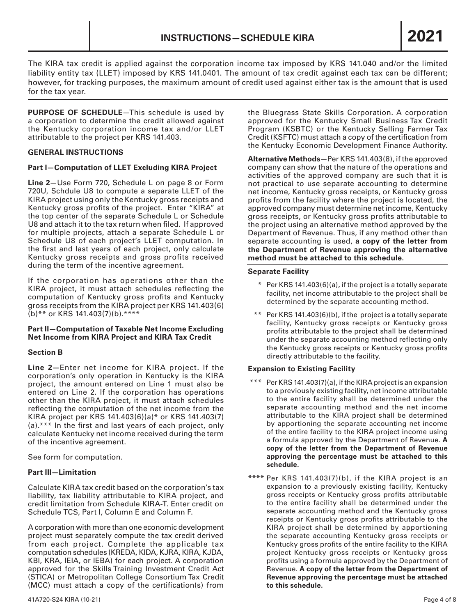The KIRA tax credit is applied against the corporation income tax imposed by KRS 141.040 and/or the limited liability entity tax (LLET) imposed by KRS 141.0401. The amount of tax credit against each tax can be different; however, for tracking purposes, the maximum amount of credit used against either tax is the amount that is used for the tax year.

**PURPOSE OF SCHEDULE**—This schedule is used by a corporation to determine the credit allowed against the Kentucky corporation income tax and/or LLET attributable to the project per KRS 141.403.

### **GENERAL INSTRUCTIONS**

#### **Part I—Computation of LLET Excluding KIRA Project**

**Line 2**—Use Form 720, Schedule L on page 8 or Form 720U, Schdule U8 to compute a separate LLET of the KIRA project using only the Kentucky gross receipts and Kentucky gross profits of the project. Enter "KIRA" at the top center of the separate Schedule L or Schedule U8 and attach it to the tax return when filed. If approved for multiple projects, attach a separate Schedule L or Schedule U8 of each project's LLET computation. In the first and last years of each project, only calculate Kentucky gross receipts and gross profits received during the term of the incentive agreement.

If the corporation has operations other than the KIRA project, it must attach schedules reflecting the computation of Kentucky gross profits and Kentucky gross receipts from the KIRA project per KRS 141.403(6) (b)\*\* or KRS 141.403(7)(b).\*\*\*\*

#### **Part II—Computation of Taxable Net Income Excluding Net Income from KIRA Project and KIRA Tax Credit**

# **Section B**

**Line 2—**Enter net income for KIRA project. If the corporation's only operation in Kentucky is the KIRA project, the amount entered on Line 1 must also be entered on Line 2. If the corporation has operations other than the KIRA project, it must attach schedules reflecting the computation of the net income from the KIRA project per KRS 141.403(6)(a)\* or KRS 141.403(7) (a).\*\*\* In the first and last years of each project, only calculate Kentucky net income received during the term of the incentive agreement.

See form for computation.

# **Part III—Limitation**

Calculate KIRA tax credit based on the corporation's tax liability, tax liability attributable to KIRA project, and credit limitation from Schedule KIRA-T. Enter credit on Schedule TCS, Part I, Column E and Column F.

A corporation with more than one economic development project must separately compute the tax credit derived from each project. Complete the applicable tax computation schedules (KREDA, KIDA, KJRA, KIRA, KJDA, KBI, KRA, IEIA, or IEBA) for each project. A corporation approved for the Skills Training Investment Credit Act (STICA) or Metropolitan College Consortium Tax Credit (MCC) must attach a copy of the certification(s) from

the Bluegrass State Skills Corporation. A corporation approved for the Kentucky Small Business Tax Credit Program (KSBTC) or the Kentucky Selling Farmer Tax Credit (KSFTC) must attach a copy of the certification from the Kentucky Economic Development Finance Authority.

**Alternative Methods**—Per KRS 141.403(8), if the approved company can show that the nature of the operations and activities of the approved company are such that it is not practical to use separate accounting to determine net income, Kentucky gross receipts, or Kentucky gross profits from the facility where the project is located, the approved company must determine net income, Kentucky gross receipts, or Kentucky gross profits attributable to the project using an alternative method approved by the Department of Revenue. Thus, if any method other than separate accounting is used, **a copy of the letter from the Department of Revenue approving the alternative method must be attached to this schedule.**

#### **Separate Facility**

- \* Per KRS 141.403(6)(a), if the project is a totally separate facility, net income attributable to the project shall be determined by the separate accounting method.
- \*\* Per KRS 141.403(6)(b), if the project is a totally separate facility, Kentucky gross receipts or Kentucky gross profits attributable to the project shall be determined under the separate accounting method reflecting only the Kentucky gross receipts or Kentucky gross profits directly attributable to the facility.

# **Expansion to Existing Facility**

- \*\*\* Per KRS 141.403(7)(a), if the KIRA project is an expansion to a previously existing facility, net income attributable to the entire facility shall be determined under the separate accounting method and the net income attributable to the KIRA project shall be determined by apportioning the separate accounting net income of the entire facility to the KIRA project income using a formula approved by the Department of Revenue. **A copy of the letter from the Department of Revenue approving the percentage must be attached to this schedule.**
- \*\*\*\* Per KRS 141.403(7)(b), if the KIRA project is an expansion to a previously existing facility, Kentucky gross receipts or Kentucky gross profits attributable to the entire facility shall be determined under the separate accounting method and the Kentucky gross receipts or Kentucky gross profits attributable to the KIRA project shall be determined by apportioning the separate accounting Kentucky gross receipts or Kentucky gross profits of the entire facility to the KIRA project Kentucky gross receipts or Kentucky gross profits using a formula approved by the Department of Revenue. **A copy of the letter from the Department of Revenue approving the percentage must be attached to this schedule.**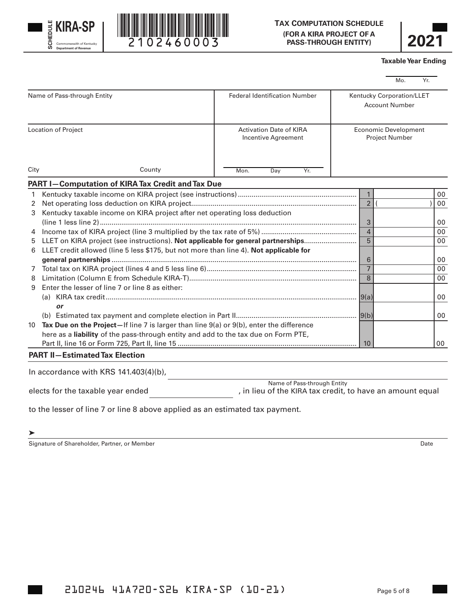





#### **Taxable Year Ending**

|                             |                                                                                              |                                                                                          |                                                    |                | laxable rear Ending |     |    |
|-----------------------------|----------------------------------------------------------------------------------------------|------------------------------------------------------------------------------------------|----------------------------------------------------|----------------|---------------------|-----|----|
|                             |                                                                                              |                                                                                          |                                                    |                | Mo.                 | Yr. |    |
| Name of Pass-through Entity |                                                                                              | <b>Federal Identification Number</b>                                                     | Kentucky Corporation/LLET<br><b>Account Number</b> |                |                     |     |    |
|                             | Location of Project                                                                          | <b>Activation Date of KIRA</b><br>Incentive Agreement                                    | <b>Economic Development</b><br>Project Number      |                |                     |     |    |
| City                        | County                                                                                       | Mon.<br>Yr.<br>Day                                                                       |                                                    |                |                     |     |    |
|                             | PART I-Computation of KIRA Tax Credit and Tax Due                                            |                                                                                          |                                                    |                |                     |     |    |
| $\mathbf{1}$                |                                                                                              |                                                                                          |                                                    | $\mathbf{1}$   |                     |     | 00 |
| 2                           |                                                                                              |                                                                                          |                                                    | 2 <sup>1</sup> |                     |     | 00 |
| 3                           | Kentucky taxable income on KIRA project after net operating loss deduction                   |                                                                                          |                                                    |                |                     |     |    |
|                             |                                                                                              |                                                                                          |                                                    | 3              |                     |     | 00 |
|                             |                                                                                              |                                                                                          |                                                    | $\overline{4}$ |                     |     | 00 |
| 5                           | LLET on KIRA project (see instructions). Not applicable for general partnerships             |                                                                                          |                                                    | $\overline{5}$ |                     |     | 00 |
|                             | 6 LLET credit allowed (line 5 less \$175, but not more than line 4). Not applicable for      |                                                                                          |                                                    |                |                     |     |    |
|                             |                                                                                              |                                                                                          |                                                    | 6              |                     |     | 00 |
|                             |                                                                                              |                                                                                          |                                                    | $\overline{7}$ |                     |     | 00 |
| 8                           |                                                                                              |                                                                                          |                                                    | 8              |                     |     | 00 |
| 9                           | Enter the lesser of line 7 or line 8 as either:                                              |                                                                                          |                                                    |                |                     |     |    |
|                             |                                                                                              |                                                                                          |                                                    |                |                     |     | 00 |
|                             | or                                                                                           |                                                                                          |                                                    |                |                     |     |    |
|                             |                                                                                              |                                                                                          |                                                    |                |                     |     | 00 |
| 10                          | Tax Due on the Project-If line 7 is larger than line $9(a)$ or $9(b)$ , enter the difference |                                                                                          |                                                    |                |                     |     |    |
|                             | here as a liability of the pass-through entity and add to the tax due on Form PTE,           |                                                                                          |                                                    |                |                     |     |    |
|                             |                                                                                              |                                                                                          |                                                    | 10             |                     |     | 00 |
|                             | <b>PART II-Estimated Tax Election</b>                                                        |                                                                                          |                                                    |                |                     |     |    |
|                             | In accordance with KRS $141.403(4)(b)$ ,                                                     |                                                                                          |                                                    |                |                     |     |    |
|                             | elects for the taxable year ended                                                            | Name of Pass-through Entity<br>, in lieu of the KIRA tax credit, to have an amount equal |                                                    |                |                     |     |    |

to the lesser of line 7 or line 8 above applied as an estimated tax payment.

#### $\blacktriangleright$

Signature of Shareholder, Partner, or Member Date New York 2012 19:30 and 2012 19:30 and 2012 19:30 and 2012 19:30 and 2013 19:30 and 2013 19:30 and 2013 19:30 and 2013 19:30 and 2013 19:30 and 2013 19:30 and 2013 19:30 an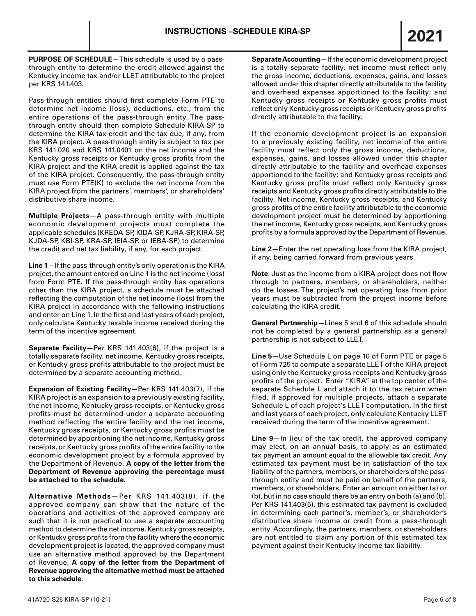**PURPOSE OF SCHEDULE**—This schedule is used by a passthrough entity to determine the credit allowed against the Kentucky income tax and/or LLET attributable to the project per KRS 141.403.

Pass-through entities should first complete Form PTE to determine net income (loss), deductions, etc., from the entire operations of the pass-through entity. The passthrough entity should then complete Schedule KIRA-SP to determine the KIRA tax credit and the tax due, if any, from the KIRA project. A pass-through entity is subject to tax per KRS 141.020 and KRS 141.0401 on the net income and the Kentucky gross receipts or Kentucky gross profits from the KIRA project and the KIRA credit is applied against the tax of the KIRA project. Consequently, the pass-through entity must use Form PTE(K) to exclude the net income from the KIRA project from the partners', members', or shareholders' distributive share income.

**Multiple Projects**—A pass-through entity with multiple economic development projects must complete the applicable schedules (KREDA-SP, KIDA-SP, KJRA-SP, KIRA-SP, KJDA-SP, KBI-SP, KRA-SP, IEIA-SP, or IEBA-SP) to determine the credit and net tax liability, if any, for each project.

**Line 1**—If the pass-through entity's only operation is the KIRA project, the amount entered on Line 1 is the net income (loss) from Form PTE. If the pass-through entity has operations other than the KIRA project, a schedule must be attached reflecting the computation of the net income (loss) from the KIRA project in accordance with the following instructions and enter on Line 1. In the first and last years of each project, only calculate Kentucky taxable income received during the term of the incentive agreement.

**Separate Facility**—Per KRS 141.403(6), if the project is a totally separate facility, net income, Kentucky gross receipts, or Kentucky gross profits attributable to the project must be determined by a separate accounting method.

**Expansion of Existing Facility**—Per KRS 141.403(7), if the KIRA project is an expansion to a previously existing facility, the net income, Kentucky gross receipts, or Kentucky gross profits must be determined under a separate accounting method reflecting the entire facility and the net income, Kentucky gross receipts, or Kentucky gross profits must be determined by apportioning the net income, Kentucky gross receipts, or Kentucky gross profits of the entire facility to the economic development project by a formula approved by the Department of Revenue. **A copy of the letter from the Department of Revenue approving the percentage must be attached to the schedule.**

**Alternative Methods**—Per KRS 141.403(8), if the approved company can show that the nature of the operations and activities of the approved company are such that it is not practical to use a separate accounting method to determine the net income, Kentucky gross receipts, or Kentucky gross profits from the facility where the economic development project is located, the approved company must use an alternative method approved by the Department of Revenue. **A copy of the letter from the Department of Revenue approving the alternative method must be attached to this schedule.**

**Separate Accounting**—If the economic development project is a totally separate facility, net income must reflect only the gross income, deductions, expenses, gains, and losses allowed under this chapter directly attributable to the facility and overhead expenses apportioned to the facility; and Kentucky gross receipts or Kentucky gross profits must reflect only Kentucky gross receipts or Kentucky gross profits directly attributable to the facility.

If the economic development project is an expansion to a previously existing facility, net income of the entire facility must reflect only the gross income, deductions, expenses, gains, and losses allowed under this chapter directly attributable to the facility and overhead expenses apportioned to the facility; and Kentucky gross receipts and Kentucky gross profits must reflect only Kentucky gross receipts and Kentucky gross profits directly attributable to the facility. Net income, Kentucky gross receipts, and Kentucky gross profits of the entire facility attributable to the economic development project must be determined by apportioning the net income, Kentucky gross receipts, and Kentucky gross profits by a formula approved by the Department of Revenue.

**Line 2**—Enter the net operating loss from the KIRA project, if any, being carried forward from previous years.

**Note**: Just as the income from a KIRA project does not flow through to partners, members, or shareholders, neither do the losses. The project's net operating loss from prior years must be subtracted from the project income before calculating the KIRA credit.

**General Partnership**—Lines 5 and 6 of this schedule should not be completed by a general partnership as a general partnership is not subject to LLET.

**Line 5**—Use Schedule L on page 10 of Form PTE or page 5 of Form 725 to compute a separate LLET of the KIRA project using only the Kentucky gross receipts and Kentucky gross profits of the project. Enter "KIRA" at the top center of the separate Schedule L and attach it to the tax return when filed. If approved for multiple projects, attach a separate Schedule L of each project's LLET computation. In the first and last years of each project, only calculate Kentucky LLET received during the term of the incentive agreement.

**Line 9**—In lieu of the tax credit, the approved company may elect, on an annual basis, to apply as an estimated tax payment an amount equal to the allowable tax credit. Any estimated tax payment must be in satisfaction of the tax liability of the partners, members, or shareholders of the passthrough entity and must be paid on behalf of the partners, members, or shareholders. Enter an amount on either (a) or (b), but in no case should there be an entry on both (a) and (b). Per KRS 141.403(5), this estimated tax payment is excluded in determining each partner's, member's, or shareholder's distributive share income or credit from a pass-through entity. Accordingly, the partners, members, or shareholders are not entitled to claim any portion of this estimated tax payment against their Kentucky income tax liability.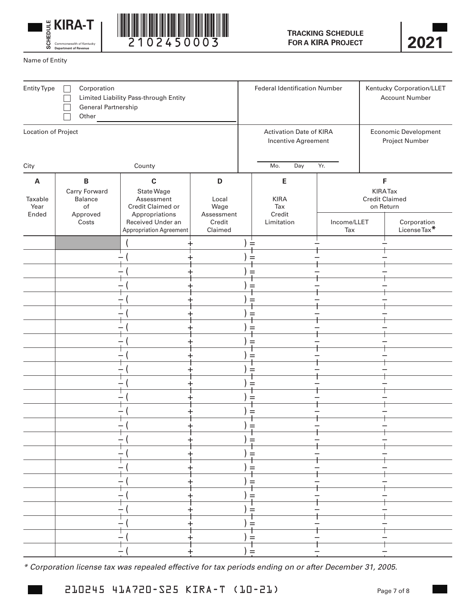





Name of Entity

| Entity Type<br>Corporation<br>Limited Liability Pass-through Entity<br>General Partnership<br>Other |                                                                     |                                                                                                                                        | <b>Federal Identification Number</b>                  |                          |                                                 | Kentucky Corporation/LLET<br><b>Account Number</b> |                                                                                           |  |
|-----------------------------------------------------------------------------------------------------|---------------------------------------------------------------------|----------------------------------------------------------------------------------------------------------------------------------------|-------------------------------------------------------|--------------------------|-------------------------------------------------|----------------------------------------------------|-------------------------------------------------------------------------------------------|--|
| Location of Project                                                                                 |                                                                     |                                                                                                                                        | <b>Activation Date of KIRA</b><br>Incentive Agreement |                          | <b>Economic Development</b><br>Project Number   |                                                    |                                                                                           |  |
| City<br>County                                                                                      |                                                                     |                                                                                                                                        |                                                       | Mo.<br>Day<br>Yr.        |                                                 |                                                    |                                                                                           |  |
| A<br>Taxable<br>Year<br>Ended                                                                       | $\, {\bf B}$<br>Carry Forward<br>Balance<br>of<br>Approved<br>Costs | $\mathbf{C}$<br>State Wage<br>Assessment<br>Credit Claimed or<br>Appropriations<br>Received Under an<br><b>Appropriation Agreement</b> | D<br>Local<br>Wage<br>Assessment<br>Credit<br>Claimed |                          | E<br><b>KIRA</b><br>Tax<br>Credit<br>Limitation | Income/LLET<br>Tax                                 | F<br><b>KIRA Tax</b><br><b>Credit Claimed</b><br>on Return<br>Corporation<br>License Tax* |  |
|                                                                                                     |                                                                     |                                                                                                                                        |                                                       | $=$<br>$=$               |                                                 |                                                    |                                                                                           |  |
|                                                                                                     |                                                                     |                                                                                                                                        |                                                       | $=$<br>$=$               |                                                 |                                                    |                                                                                           |  |
|                                                                                                     |                                                                     |                                                                                                                                        |                                                       | $=$<br>$=$               |                                                 |                                                    |                                                                                           |  |
|                                                                                                     |                                                                     |                                                                                                                                        |                                                       | $=$<br>$=$               |                                                 |                                                    |                                                                                           |  |
|                                                                                                     |                                                                     |                                                                                                                                        |                                                       | $=$<br>$=$               |                                                 |                                                    |                                                                                           |  |
|                                                                                                     |                                                                     |                                                                                                                                        |                                                       | $=$<br>$=$               |                                                 |                                                    |                                                                                           |  |
|                                                                                                     |                                                                     |                                                                                                                                        |                                                       | $=$<br>-<br>$\mathbf{I}$ |                                                 |                                                    |                                                                                           |  |
|                                                                                                     |                                                                     |                                                                                                                                        |                                                       | ) =<br>$) =$             |                                                 |                                                    |                                                                                           |  |
|                                                                                                     |                                                                     |                                                                                                                                        |                                                       | $r =$<br>$) =$           |                                                 |                                                    |                                                                                           |  |
|                                                                                                     |                                                                     |                                                                                                                                        |                                                       | $r =$<br>$) =$           |                                                 |                                                    |                                                                                           |  |
|                                                                                                     |                                                                     |                                                                                                                                        |                                                       | ) =                      |                                                 |                                                    |                                                                                           |  |
|                                                                                                     |                                                                     |                                                                                                                                        |                                                       | $) =$                    |                                                 |                                                    |                                                                                           |  |

*\* Corporation license tax was repealed effective for tax periods ending on or after December 31, 2005.*